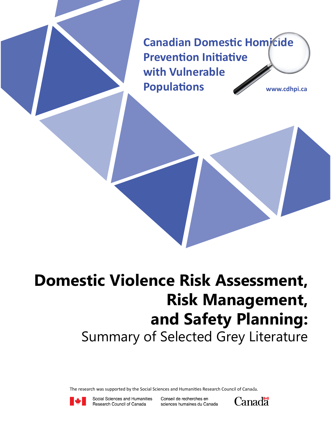**Canadian Domestic Homicide Prevention Initiative with Vulnerable Populations www.cdhpi.ca**

## **Domestic Violence Risk Assessment, Risk Management, and Safety Planning:** Summary of Selected Grey Literature

The research was supported by the Social Sciences and Humanities Research Council of Canada.



Social Sciences and Humanities Research Council of Canada

Conseil de recherches en sciences humaines du Canada

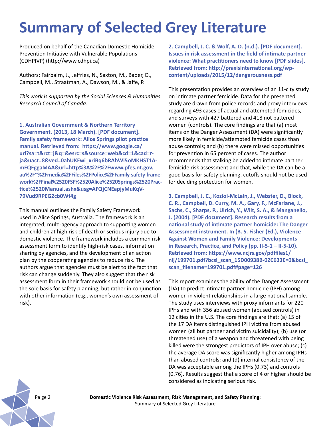## **Summary of Selected Grey Literature**

Produced on behalf of the Canadian Domestic Homicide Prevention Initiative with Vulnerable Populations (CDHPIVP) (http://www.cdhpi.ca)

Authors: Fairbairn, J., Jeffries, N., Saxton, M., Bader, D., Campbell, M., Straatman, A., Dawson, M., & Jaffe, P.

*This work is supported by the Social Sciences & Humanities Research Council of Canada.* 

**1. Australian Government & Northern Territory Government. (2013, 18 March). [PDF document]. Family safety framework: Alice Springs pilot practice manual. Retrieved from: https://www.google.ca/ url?sa=t&rct=j&q=&esrc=s&source=web&cd=1&cad=rja&uact=8&ved=0ahUKEwi\_xriBq6bRAhWi5oMKHST1AmEQFggaMAA&url=http%3A%2F%2Fwww.pfes.nt.gov. au%2F~%2Fmedia%2FFiles%2FPolice%2FFamily-safety-framework%2FFinal%2520FSF%2520Alice%2520Springs%2520Practice%2520Manual.ashx&usg=AFQjCNEapjyMuKqV-79Vud9RPEG2cb0Wf4g**

This manual outlines the Family Safety Framework used in Alice Springs, Australia. The framework is an integrated, multi-agency approach to supporting women and children at high risk of death or serious injury due to domestic violence. The framework includes a common risk assessment form to identify high-risk cases, information sharing by agencies, and the development of an action plan by the cooperating agencies to reduce risk. The authors argue that agencies must be alert to the fact that risk can change suddenly. They also suggest that the risk assessment form in their framework should not be used as the sole basis for safety planning, but rather in conjunction with other information (e.g., women's own assessment of risk).

**2. Campbell, J. C. & Wolf, A. D. (n.d.). [PDF document]. Issues in risk assessment in the field of intimate partner violence: What practitioners need to know [PDF slides]. Retrieved from: http://praxisinternational.org/wpcontent/uploads/2015/12/dangerousness.pdf**

This presentation provides an overview of an 11-city study on intimate partner femicide. Data for the presented study are drawn from police records and proxy interviews regarding 493 cases of actual and attempted femicides, and surveys with 427 battered and 418 not battered women (controls). The core findings are that (a) most items on the Danger Assessment (DA) were significantly more likely in femicide/attempted femicide cases than abuse controls; and (b) there were missed opportunities for prevention in 65 percent of cases. The author recommends that stalking be added to intimate partner femicide risk assessment and that, while the DA can be a good basis for safety planning, cutoffs should not be used for deciding protection for women.

**3. Campbell, J. C., Koziol-McLain, J., Webster, D., Block, C. R., Campbell, D. Curry, M. A., Gary, F., McFarlane, J., Sachs, C., Sharps, P., Ulrich, Y., Wilt, S. A., & Manganello, J. (2004). [PDF document]. Research results from a national study of intimate partner homicide: The Danger Assessment instrument. In (B. S. Fisher (Ed.), Violence Against Women and Family Violence: Developments in Research, Practice, and Policy (pp. II-5-1 – II-5-10). Retrieved from: https://www.ncjrs.gov/pdffiles1/ nij/199701.pdf?bcsi\_scan\_15D00938B-02C633E=0&bcsi\_ scan\_filename=199701.pdf#page=126**

This report examines the ability of the Danger Assessment (DA) to predict intimate partner homicide (IPH) among women in violent relationships in a large national sample. The study uses interviews with proxy informants for 220 IPHs and with 356 abused women (abused controls) in 12 cities in the U.S. The core findings are that: (a) 15 of the 17 DA items distinguished IPH victims from abused women (all but partner and victim suicidality); (b) use (or threatened use) of a weapon and threatened with being killed were the strongest predictors of IPH over abuse; (c) the average DA score was significantly higher among IPHs than abused controls; and (d) internal consistency of the DA was acceptable among the IPHs (0.73) and controls (0.76). Results suggest that a score of 4 or higher should be considered as indicating serious risk.



Pa ge 2 **Domestic Violence Risk Assessment, Risk Management, and Safety Planning:**  Summary of Selected Grey Literature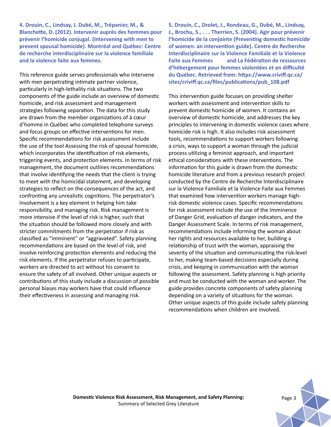**4. Drouin, C., Lindsay, J. Dubé, M., Trépanier, M., & Blanchette, D. (2012). Intervenir auprès des hommes pour prévenir l'homicide conjugal. (Intervening with men to prevent spousal homicide). Montréal and Québec: Centre de recherche interdisciplinaire sur la violence familiale and la violence faite aux femmes.** 

This reference guide serves professionals who intervene with men perpetrating intimate partner violence, particularly in high-lethality risk situations. The two components of the guide include an overview of domestic homicide, and risk assessment and management strategies following separation. The data for this study are drawn from the member organizations of à cœur d'homme in Québec who completed telephone surveys and focus groups on effective interventions for men. Specific recommendations for risk assessment include the use of the tool Assessing the risk of spousal homicide, which incorporates the identification of risk elements, triggering events, and protection elements. In terms of risk management, the document outlines recommendations that involve identifying the needs that the client is trying to meet with the homicidal statement, and developing strategies to reflect on the consequences of the act, and confronting any unrealistic cognitions. The perpetrator's involvement is a key element in helping him take responsibility, and managing risk. Risk management is more intensive if the level of risk is higher, such that the situation should be followed more closely and with stricter commitments from the perpetrator if risk as classified as "imminent" or "aggravated". Safety planning recommendations are based on the level of risk, and involve reinforcing protection elements and reducing the risk elements. If the perpetrator refuses to participate, workers are directed to act without his consent to ensure the safety of all involved. Other unique aspects or contributions of this study include a discussion of possible personal biases may workers have that could influence their effectiveness in assessing and managing risk.

**5. Drouin, C., Drolet, J., Rondeau, G., Dubé, M., Lindsay, J., Brochu, S., . . . Therrien, S. (2004). Agir pour prévenir l'homicide de la conjointe (Preventing domestic homicide of women: an intervention guide). Centre de Recherche Interdisciplinaire sur la Violence Familiale et la Violence Faite aux Femmes and La Fédération de ressources d'hébergement pour femmes violentées et en difficulté du Québec. Retrieved from: https://www.criviff.qc.ca/ sites/criviff.qc.ca/files/publications/pub\_108.pdf**

This intervention guide focuses on providing shelter workers with assessment and intervention skills to prevent domestic homicide of women. It contains an overview of domestic homicide, and addresses the key principles to intervening in domestic violence cases where homicide risk is high. It also includes risk assessment tools, recommendations to support workers following a crisis, ways to support a woman through the judicial process utilizing a feminist approach, and important ethical considerations with these interventions. The information for this guide is drawn from the domestic homicide literature and from a previous research project conducted by the Centre de Recherche Interdisciplinaire sur la Violence Familiale et la Violence Faite aux Femmes that examined how intervention workers manage highrisk domestic violence cases. Specific recommendations for risk assessment include the use of the Imminence of Danger Grid, evaluation of danger indicators, and the Danger Assessment Scale. In terms of risk management, recommendations include informing the woman about her rights and resources available to her, building a relationship of trust with the woman, appraising the severity of the situation and communicating the risk-level to her, making team-based decisions especially during crisis, and keeping in communication with the woman following the assessment. Safety planning is high priority and must be conducted with the woman and worker. The guide provides concrete components of safety planning depending on a variety of situations for the woman. Other unique aspects of this guide include safety planning recommendations when children are involved.

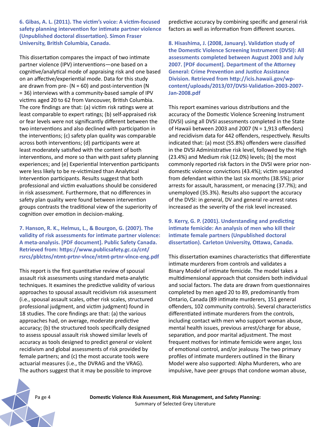**6. Gibas, A. L. (2011). The victim's voice: A victim-focused safety planning intervention for intimate partner violence (Unpublished doctoral dissertation). Simon Fraser University, British Columbia, Canada.** 

This dissertation compares the impact of two intimate partner violence (IPV) interventions—one based on a cognitive/analytical mode of appraising risk and one based on an affective/experiential mode. Data for this study are drawn from pre- ( $N = 60$ ) and post-intervention ( $N$ = 36) interviews with a community-based sample of IPV victims aged 20 to 62 from Vancouver, British Columbia. The core findings are that: (a) victim risk ratings were at least comparable to expert ratings; (b) self-appraised risk or fear levels were not significantly different between the two interventions and also declined with participation in the interventions; (c) safety plan quality was comparable across both interventions; (d) participants were at least moderately satisfied with the content of both interventions, and more so than with past safety planning experiences; and (e) Experiential Intervention participants were less likely to be re-victimized than Analytical Intervention participants. Results suggest that both professional and victim evaluations should be considered in risk assessment. Furthermore, that no differences in safety plan quality were found between intervention groups contrasts the traditional view of the superiority of cognition over emotion in decision-making.

**7. Hanson, R. K., Helmus, L., & Bourgon, G. (2007). The validity of risk assessments for intimate partner violence: A meta-analysis. [PDF document]. Public Safety Canada. Retrieved from: https://www.publicsafety.gc.ca/cnt/ rsrcs/pblctns/ntmt-prtnr-vlnce/ntmt-prtnr-vlnce-eng.pdf**

This report is the first quantitative review of spousal assault risk assessments using standard meta-analytic techniques. It examines the predictive validity of various approaches to spousal assault recidivism risk assessment (i.e., spousal assault scales, other risk scales, structured professional judgment, and victim judgment) found in 18 studies. The core findings are that: (a) the various approaches had, on average, moderate predictive accuracy; (b) the structured tools specifically designed to assess spousal assault risk showed similar levels of accuracy as tools designed to predict general or violent recidivism and global assessments of risk provided by female partners; and (c) the most accurate tools were actuarial measures (i.e., the DVRAG and the VRAG). The authors suggest that it may be possible to improve

predictive accuracy by combining specific and general risk factors as well as information from different sources.

**8. Hisashima, J. (2008, January). Validation study of the Domestic Violence Screening Instrument (DVSI): All assessments completed between August 2003 and July 2007. [PDF document]. Department of the Attorney General: Crime Prevention and Justice Assistance Division. Retrieved from http://icis.hawaii.gov/wpcontent/uploads/2013/07/DVSI-Validation-2003-2007- Jan-2008.pdf**

This report examines various distributions and the accuracy of the Domestic Violence Screening Instrument (DVSI) using all DVSI assessments completed in the State of Hawaii between 2003 and 2007 ( $N = 1,913$  offenders) and recidivism data for 442 offenders, respectively. Results indicated that: (a) most (55.8%) offenders were classified in the DVSI Administrative risk level, followed by the High (23.4%) and Medium risk (12.0%) levels; (b) the most commonly reported risk factors in the DVSI were prior nondomestic violence convictions (43.4%); victim separated from defendant within the last six months (38.5%); prior arrests for assault, harassment, or menacing (37.7%); and unemployed (35.3%). Results also support the accuracy of the DVSI: in general, DV and general re-arrest rates increased as the severity of the risk level increased.

**9. Kerry, G. P. (2001). Understanding and predicting intimate femicide: An analysis of men who kill their intimate female partners (Unpublished doctoral dissertation). Carleton University, Ottawa, Canada.** 

This dissertation examines characteristics that differentiate intimate murderers from controls and validates a Binary Model of intimate femicide. The model takes a multidimensional approach that considers both individual and social factors. The data are drawn from questionnaires completed by men aged 20 to 89, predominantly from Ontario, Canada (89 intimate murderers, 151 general offenders, 102 community controls). Several characteristics differentiated intimate murderers from the controls, including contact with men who support woman abuse, mental health issues, previous arrest/charge for abuse, separation, and poor marital adjustment. The most frequent motives for intimate femicide were anger, loss of emotional control, and/or jealousy. The two primary profiles of intimate murderers outlined in the Binary Model were also supported: Alpha Murderers, who are impulsive, have peer groups that condone woman abuse,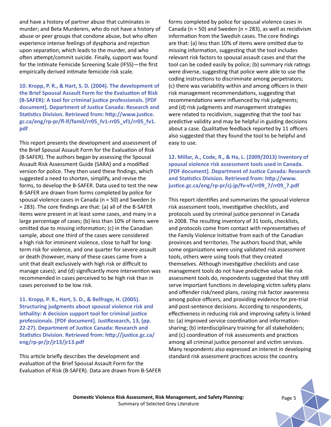and have a history of partner abuse that culminates in murder; and Beta Murderers, who do not have a history of abuse or peer groups that condone abuse, but who often experience intense feelings of dysphoria and rejection upon separation, which leads to the murder, and who often attempt/commit suicide. Finally, support was found for the Intimate Femicide Screening Scale (IFSS)—the first empirically derived intimate femicide risk scale.

**10. Kropp, P. R., & Hart, S. D. (2004). The development of the Brief Spousal Assault Form for the Evaluation of Risk (B-SAFER): A tool for criminal justice professionals. [PDF document]. Department of Justice Canada: Research and Statistics Division. Retrieved from: http://www.justice. gc.ca/eng/rp-pr/fl-lf/famil/rr05\_fv1-rr05\_vf1/rr05\_fv1. pdf**

This report presents the development and assessment of the Brief Spousal Assault Form for the Evaluation of Risk (B-SAFER). The authors began by assessing the Spousal Assault Risk Assessment Guide (SARA) and a modified version for police. They then used these findings, which suggested a need to shorten, simplify, and revise the forms, to develop the B-SAFER. Data used to test the new B-SAFER are drawn from forms completed by police for spousal violence cases in Canada (n = 50) and Sweden (n = 283). The core findings are that: (a) all of the B-SAFER items were present in at least some cases, and many in a large percentage of cases; (b) less than 10% of items were omitted due to missing information; (c) in the Canadian sample, about one third of the cases were considered a high risk for imminent violence, close to half for longterm risk for violence, and one quarter for severe assault or death (however, many of these cases came from a unit that dealt exclusively with high risk or difficult to manage cases); and (d) significantly more intervention was recommended in cases perceived to be high risk than in cases perceived to be low risk.

**11. Kropp, P. R., Hart, S. D., & Belfrage, H. (2005). Structuring judgments about spousal violence risk and lethality: A decision support tool for criminal justice professionals. [PDF document]. JustResearch, 13, (pp. 22-27). Department of Justice Canada: Research and Statistics Division. Retrieved from: http://justice.gc.ca/ eng/rp-pr/jr/jr13/jr13.pdf**

This article briefly describes the development and evaluation of the Brief Spousal Assault Form for the Evaluation of Risk (B-SAFER). Data are drawn from B-SAFER forms completed by police for spousal violence cases in Canada ( $n = 50$ ) and Sweden ( $n = 283$ ), as well as recidivism information from the Swedish cases. The core findings are that: (a) less than 10% of items were omitted due to missing information, suggesting that the tool includes relevant risk factors to spousal assault cases and that the tool can be coded easily by police; (b) summary risk ratings were diverse, suggesting that police were able to use the coding instructions to discriminate among perpetrators; (c) there was variability within and among officers in their risk management recommendations, suggesting that recommendations were influenced by risk judgments; and (d) risk judgments and management strategies were related to recidivism, suggesting that the tool has predictive validity and may be helpful in guiding decisions about a case. Qualitative feedback reported by 11 officers also suggested that they found the tool to be helpful and easy to use.

**12. Millar, A., Code, R., & Ha, L. (2009/2013) Inventory of spousal violence risk assessment tools used in Canada. [PDF document]. Department of Justice Canada: Research and Statistics Division. Retrieved from: http://www. justice.gc.ca/eng/rp-pr/cj-jp/fv-vf/rr09\_7/rr09\_7.pdf**

This report identifies and summarizes the spousal violence risk assessment tools, investigative checklists, and protocols used by criminal justice personnel in Canada in 2008. The resulting inventory of 31 tools, checklists, and protocols come from contact with representatives of the Family Violence Initiative from each of the Canadian provinces and territories. The authors found that, while some organizations were using validated risk assessment tools, others were using tools that they created themselves. Although investigative checklists and case management tools do not have predictive value like risk assessment tools do, respondents suggested that they still serve important functions in developing victim safety plans and offender risk/need plans, raising risk factor awareness among police officers, and providing evidence for pre-trial and post-sentence decisions. According to respondents, effectiveness in reducing risk and improving safety is linked to: (a) improved service coordination and informationsharing; (b) interdisciplinary training for all stakeholders; and (c) coordination of risk assessments and practices among all criminal justice personnel and victim services. Many respondents also expressed an interest in developing standard risk assessment practices across the country.



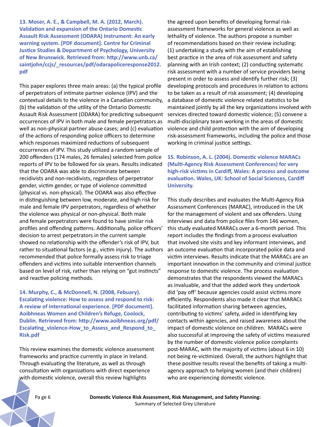**13. Moser, A. E., & Campbell, M. A. (2012, March). Validation and expansion of the Ontario Domestic Assault Risk Assessment (ODARA) Instrument: An early warning system. [PDF document]. Centre for Criminal Justice Studies & Department of Psychology, University of New Brunswick. Retrieved from: http://www.unb.ca/ saintjohn/ccjs/\_resources/pdf/odarapoliceresponse2012. pdf**

This paper explores three main areas: (a) the typical profile of perpetrators of intimate partner violence (IPV) and the contextual details to the violence in a Canadian community, (b) the validation of the utility of the Ontario Domestic Assault Risk Assessment (ODARA) for predicting subsequent occurrences of IPV in both male and female perpetrators as well as non-physical partner abuse cases; and (c) evaluation of the actions of responding police officers to determine which responses maximized reductions of subsequent occurrences of IPV. This study utilized a random sample of 200 offenders (174 males, 26 females) selected from police reports of IPV to be followed for six years. Results indicated that the ODARA was able to discriminate between recidivists and non-recidivists, regardless of perpetrator gender, victim gender, or type of violence committed (physical vs. non-physical). The ODARA was also effective in distinguishing between low, moderate, and high risk for male and female IPV perpetrators, regardless of whether the violence was physical or non-physical. Both male and female perpetrators were found to have similar risk profiles and offending patterns. Additionally, police officers' decision to arrest perpetrators in the current sample showed no relationship with the offender's risk of IPV, but rather to situational factors (e.g., victim injury). The authors recommended that police formally assess risk to triage offenders and victims into suitable intervention channels based on level of risk, rather than relying on "gut instincts" and reactive policing methods.

**14. Murphy, C., & McDonnell, N. (2008, Febuary). Escalating violence: How to assess and respond to risk: A review of international experience. [PDF document]. Aoibhneas Women and Children's Refuge, Coolock, Dublin. Retrieved from: http://www.aoibhneas.org/pdf/ Escalating\_violence-How\_to\_Assess\_and\_Respond\_to\_ Risk.pdf**

This review examines the domestic violence assessment frameworks and practice currently in place in Ireland. Through evaluating the literature, as well as through consultation with organizations with direct experience with domestic violence, overall this review highlights

the agreed upon benefits of developing formal riskassessment frameworks for general violence as well as lethality of violence. The authors propose a number of recommendations based on their review including: (1) undertaking a study with the aim of establishing best practice in the area of risk assessment and safety planning with an Irish context; (2) conducting systematic risk assessment with a number of service providers being present in order to assess and identify further risk; (3) developing protocols and procedures in relation to actions to be taken as a result of risk assessment; (4) developing a database of domestic violence related statistics to be maintained jointly by all the key organizations involved with services directed toward domestic violence; (5) convene a multi-disciplinary team working in the areas of domestic violence and child protection with the aim of developing risk-assessment frameworks, including the police and those working in criminal justice settings.

**15. Robinson, A. L. (2004). Domestic violence MARACs (Multi-Agency Risk Assessment Conferences) for very high-risk victims in Cardiff, Wales: A process and outcome evaluation. Wales, UK: School of Social Sciences, Cardiff University.**

This study describes and evaluates the Multi-Agency Risk Assessment Conferences (MARAC), introduced in the UK for the management of violent and sex offenders. Using interviews and data from police files from 146 women, this study evaluated MARACs over a 6-month period. This report includes the findings from a process evaluation that involved site visits and key informant interviews, and an outcome evaluation that incorporated police data and victim interviews. Results indicate that the MARACs are an important innovation in the community and criminal justice response to domestic violence. The process evaluation demonstrates that the respondents viewed the MARACs as invaluable, and that the added work they undertook did 'pay off' because agencies could assist victims more efficiently. Respondents also made it clear that MARACs facilitated information sharing between agencies, contributing to victims' safety, aided in identifying key contacts within agencies, and raised awareness about the impact of domestic violence on children. MARACs were also successful at improving the safety of victims measured by the number of domestic violence police complaints post-MARAC, with the majority of victims (about 6 in 10) not being re-victimized. Overall, the authors highlight that these positive results reveal the benefits of taking a multiagency approach to helping women (and their children) who are experiencing domestic violence.

Pa ge 6 **Domestic Violence Risk Assessment, Risk Management, and Safety Planning:**  Summary of Selected Grey Literature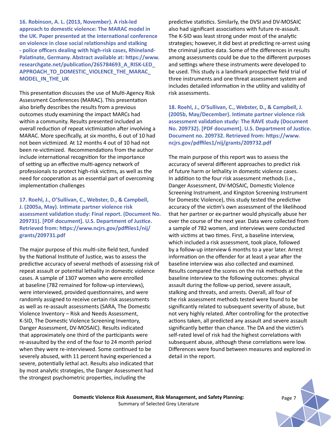**16. Robinson, A. L. (2013, November). A risk-led approach to domestic violence: The MARAC model in the UK. Paper presented at the international conference on violence in close social relationships and stalking - police officers dealing with high-risk cases, Rhineland-Palatinate, Germany. Abstract available at: https://www. researchgate.net/publication/265784693\_A\_RISK-LED\_ APPROACH\_TO\_DOMESTIC\_VIOLENCE\_THE\_MARAC\_ MODEL\_IN\_THE\_UK**

This presentation discusses the use of Multi-Agency Risk Assessment Conferences (MARAC). This presentation also briefly describes the results from a previous outcomes study examining the impact MARCs had within a community. Results presented included an overall reduction of repeat victimization after involving a MARAC. More specifically, at six months, 6 out of 10 had not been victimized. At 12 months 4 out of 10 had not been re-victimized. Recommendations from the author include international recognition for the importance of setting up an effective multi-agency network of professionals to protect high-risk victims, as well as the need for cooperation as an essential part of overcoming implementation challenges

**17. Roehl, J., O'Sullivan, C., Webster, D., & Campbell, J. (2005a, May). Intimate partner violence risk assessment validation study: Final report. (Document No. 209731). [PDF document]. U.S. Department of Justice. Retrieved from: https://www.ncjrs.gov/pdffiles1/nij/ grants/209731.pdf**

The major purpose of this multi-site field test, funded by the National Institute of Justice, was to assess the predictive accuracy of several methods of assessing risk of repeat assault or potential lethality in domestic violence cases. A sample of 1307 women who were enrolled at baseline (782 remained for follow-up interviews), were interviewed, provided questionnaires, and were randomly assigned to receive certain risk assessments as well as re-assault assessments (SARA, The Domestic Violence Inventory – Risk and Needs Assessment, K-SID, The Domestic Violence Screening Inventory, Danger Assessment, DV-MOSAIC). Results indicated that approximately one third of the participants were re-assaulted by the end of the four to 24 month period when they were re-interviewed. Some continued to be severely abused, with 11 percent having experienced a severe, potentially lethal act. Results also indicated that by most analytic strategies, the Danger Assessment had the strongest psychometric properties, including the

predictive statistics. Similarly, the DVSI and DV-MOSAIC also had significant associations with future re-assault. The K-SID was least strong under most of the analytic strategies; however, it did best at predicting re-arrest using the criminal justice data. Some of the differences in results among assessments could be due to the different purposes and settings where these instruments were developed to be used. This study is a landmark prospective field trial of three instruments and one threat assessment system and includes detailed information in the utility and validity of risk assessments.

**18. Roehl, J., O'Sullivan, C., Webster, D., & Campbell, J. (2005b, May/December). Intimate partner violence risk assessment validation study: The RAVE study (Document No. 209732). [PDF document]. U.S. Department of Justice. Document no. 209732. Retrieved from: https://www. ncjrs.gov/pdffiles1/nij/grants/209732.pdf**

The main purpose of this report was to assess the accuracy of several different approaches to predict risk of future harm or lethality in domestic violence cases. In addition to the four risk assessment methods (i.e., Danger Assessment, DV-MOSAIC, Domestic Violence Screening Instrument, and Kingston Screening Instrument for Domestic Violence), this study tested the predictive accuracy of the victim's own assessment of the likelihood that her partner or ex-partner would physically abuse her over the course of the next year. Data were collected from a sample of 782 women, and interviews were conducted with victims at two times. First, a baseline interview, which included a risk assessment, took place, followed by a follow-up interview 6 months to a year later. Arrest information on the offender for at least a year after the baseline interview was also collected and examined. Results compared the scores on the risk methods at the baseline interview to the following outcomes: physical assault during the follow-up period, severe assault, stalking and threats, and arrests. Overall, all four of the risk assessment methods tested were found to be significantly related to subsequent severity of abuse, but not very highly related. After controlling for the protective actions taken, all predicted any assault and severe assault significantly better than chance. The DA and the victim's self-rated level of risk had the highest correlations with subsequent abuse, although these correlations were low. Differences were found between measures and explored in detail in the report.

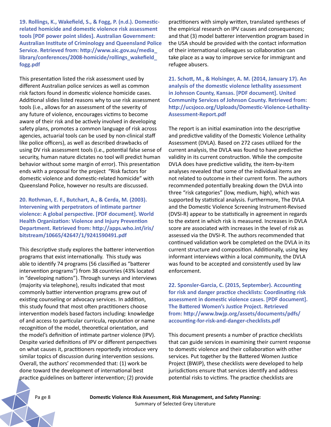**19. Rollings, K., Wakefield, S., & Fogg, P. (n.d.). Domesticrelated homicide and domestic violence risk assessment tools [PDF power point slides]. Australian Government: Australian Institute of Criminology and Queensland Police Service. Retrieved from: http://www.aic.gov.au/media\_ library/conferences/2008-homicide/rollings\_wakefield\_ fogg.pdf**

This presentation listed the risk assessment used by different Australian police services as well as common risk factors found in domestic violence homicide cases. Additional slides listed reasons why to use risk assessment tools (i.e., allows for an assessment of the severity of any future of violence, encourages victims to become aware of their risk and be actively involved in developing safety plans, promotes a common language of risk across agencies, actuarial tools can be used by non-clinical staff like police officers), as well as described drawbacks of using DV risk assessment tools (i.e., potential false sense of security, human nature dictates no tool will predict human behavior without some margin of error). This presentation ends with a proposal for the project "Risk factors for domestic violence and domestic-related homicide" with Queensland Police, however no results are discussed.

**20. Rothman, E. F., Butchart, A., & Cerda, M. (2003). Intervening with perpetrators of intimate partner violence: A global perspective. [PDF document]. World Health Organization: Violence and Injury Prevention Department. Retrieved from: http://apps.who.int/iris/ bitstream/10665/42647/1/9241590491.pdf**

This descriptive study explores the batterer intervention programs that exist internationally. This study was able to identify 74 programs (56 classified as "batterer intervention programs") from 38 countries (43% located in "developing nations"). Through surveys and interviews (majority via telephone), results indicated that most commonly battier intervention programs grew out of existing counseling or advocacy services. In addition, this study found that most often practitioners choose intervention models based factors including: knowledge of and access to particular curricula, reputation or name recognition of the model, theoretical orientation, and the model's definition of intimate partner violence (IPV). Despite varied definitions of IPV or different perspectives on what causes it, practitioners reportedly introduce very similar topics of discussion during intervention sessions. Overall, the authors' recommended that: (1) work be done toward the development of international best practice guidelines on batterer intervention; (2) provide

practitioners with simply written, translated syntheses of the empirical research on IPV causes and consequences; and that (3) model batterer intervention program based in the USA should be provided with the contact information of their international colleagues so collaboration can take place as a way to improve service for immigrant and refugee abusers.

**21. Schott, M., & Holsinger, A. M. (2014, January 17). An analysis of the domestic violence lethality assessment in Johnson County, Kansas. [PDF document]. United Community Services of Johnson County. Retrieved from: http://ucsjoco.org/Uploads/Domestic-Violence-Lethality-Assessment-Report.pdf**

The report is an initial examination into the descriptive and predictive validity of the Domestic Violence Lethality Assessment (DVLA). Based on 272 cases utilized for the current analysis, the DVLA was found to have predictive validity in its current construction. While the composite DVLA does have predictive validity, the item-by-item analyses revealed that some of the individual items are not related to outcome in their current form. The authors recommended potentially breaking down the DVLA into three "risk categories" (low, medium, high), which was supported by statistical analysis. Furthermore, The DVLA and the Domestic Violence Screening Instrument-Revised (DVSI-R) appear to be statistically in agreement in regards to the extent in which risk is measured. Increases in DVLA score are associated with increases in the level of risk as assessed via the DVSI-R. The authors recommended that continued validation work be completed on the DVLA in its current structure and composition. Additionally, using key informant interviews within a local community, the DVLA was found to be accepted and consistently used by law enforcement.

**22. Sponsler-Garcia, C. (2015, September). Accounting for risk and danger practice checklists: Coordinating risk assessment in domestic violence cases. [PDF document]. The Battered Women's Justice Project. Retrieved from: http://www.bwjp.org/assets/documents/pdfs/ accounting-for-risk-and-danger-checklists.pdf**

This document presents a number of practice checklists that can guide services in examining their current response to domestic violence and their collaboration with other services. Put together by the Battered Women Justice Project (BWJP), these checklists were developed to help jurisdictions ensure that services identify and address potential risks to victims. The practice checklists are

Pa ge 8 **Domestic Violence Risk Assessment, Risk Management, and Safety Planning:**  Summary of Selected Grey Literature